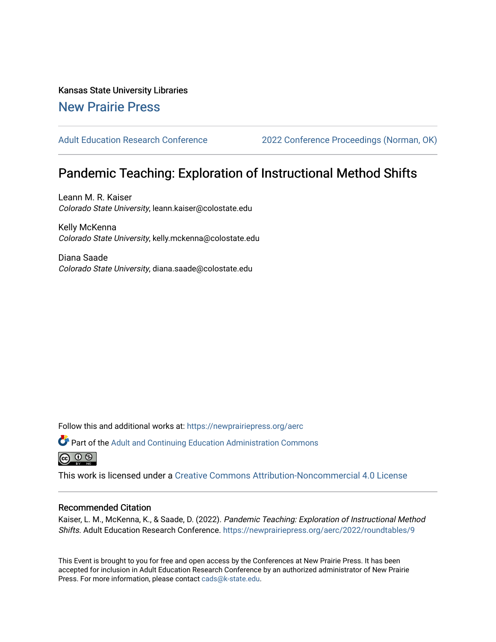## Kansas State University Libraries [New Prairie Press](https://newprairiepress.org/)

[Adult Education Research Conference](https://newprairiepress.org/aerc) [2022 Conference Proceedings \(Norman, OK\)](https://newprairiepress.org/aerc/2022) 

# Pandemic Teaching: Exploration of Instructional Method Shifts

Leann M. R. Kaiser Colorado State University, leann.kaiser@colostate.edu

Kelly McKenna Colorado State University, kelly.mckenna@colostate.edu

Diana Saade Colorado State University, diana.saade@colostate.edu

Follow this and additional works at: [https://newprairiepress.org/aerc](https://newprairiepress.org/aerc?utm_source=newprairiepress.org%2Faerc%2F2022%2Froundtables%2F9&utm_medium=PDF&utm_campaign=PDFCoverPages)

Part of the [Adult and Continuing Education Administration Commons](https://network.bepress.com/hgg/discipline/789?utm_source=newprairiepress.org%2Faerc%2F2022%2Froundtables%2F9&utm_medium=PDF&utm_campaign=PDFCoverPages) @ 0 ®

This work is licensed under a [Creative Commons Attribution-Noncommercial 4.0 License](https://creativecommons.org/licenses/by-nc/4.0/)

### Recommended Citation

Kaiser, L. M., McKenna, K., & Saade, D. (2022). Pandemic Teaching: Exploration of Instructional Method Shifts. Adult Education Research Conference. <https://newprairiepress.org/aerc/2022/roundtables/9>

This Event is brought to you for free and open access by the Conferences at New Prairie Press. It has been accepted for inclusion in Adult Education Research Conference by an authorized administrator of New Prairie Press. For more information, please contact [cads@k-state.edu.](mailto:cads@k-state.edu)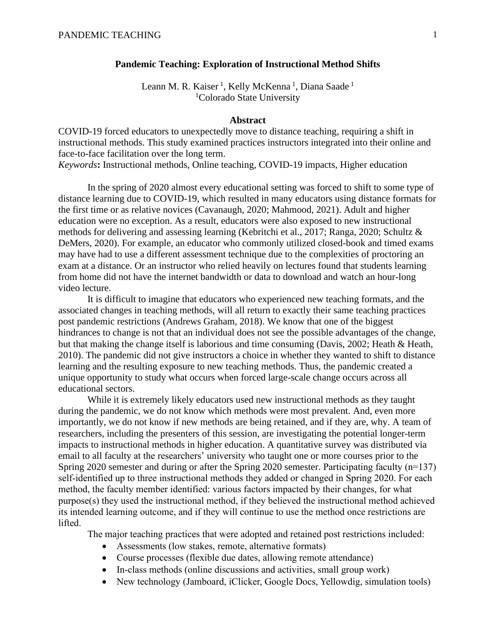#### **Pandemic Teaching: Exploration of Instructional Method Shifts**

Leann M. R. Kaiser<sup>1</sup>, Kelly McKenna<sup>1</sup>, Diana Saade<sup>1</sup> <sup>1</sup>Colorado State University

### **Abstract**

COVID-19 forced educators to unexpectedly move to distance teaching, requiring a shift in instructional methods. This study examined practices instructors integrated into their online and face-to-face facilitation over the long term.

*Keywords***:** Instructional methods, Online teaching, COVID-19 impacts, Higher education

In the spring of 2020 almost every educational setting was forced to shift to some type of distance learning due to COVID-19, which resulted in many educators using distance formats for the first time or as relative novices (Cavanaugh, 2020; Mahmood, 2021). Adult and higher education were no exception. As a result, educators were also exposed to new instructional methods for delivering and assessing learning (Kebritchi et al., 2017; Ranga, 2020; Schultz & DeMers, 2020). For example, an educator who commonly utilized closed-book and timed exams may have had to use a different assessment technique due to the complexities of proctoring an exam at a distance. Or an instructor who relied heavily on lectures found that students learning from home did not have the internet bandwidth or data to download and watch an hour-long video lecture.

It is difficult to imagine that educators who experienced new teaching formats, and the associated changes in teaching methods, will all return to exactly their same teaching practices post pandemic restrictions (Andrews Graham, 2018). We know that one of the biggest hindrances to change is not that an individual does not see the possible advantages of the change, but that making the change itself is laborious and time consuming (Davis, 2002; Heath & Heath, 2010). The pandemic did not give instructors a choice in whether they wanted to shift to distance learning and the resulting exposure to new teaching methods. Thus, the pandemic created a unique opportunity to study what occurs when forced large-scale change occurs across all educational sectors.

While it is extremely likely educators used new instructional methods as they taught during the pandemic, we do not know which methods were most prevalent. And, even more importantly, we do not know if new methods are being retained, and if they are, why. A team of researchers, including the presenters of this session, are investigating the potential longer-term impacts to instructional methods in higher education. A quantitative survey was distributed via email to all faculty at the researchers' university who taught one or more courses prior to the Spring 2020 semester and during or after the Spring 2020 semester. Participating faculty (n=137) self-identified up to three instructional methods they added or changed in Spring 2020. For each method, the faculty member identified: various factors impacted by their changes, for what purpose(s) they used the instructional method, if they believed the instructional method achieved its intended learning outcome, and if they will continue to use the method once restrictions are lifted.

The major teaching practices that were adopted and retained post restrictions included:

- Assessments (low stakes, remote, alternative formats)
- Course processes (flexible due dates, allowing remote attendance)
- In-class methods (online discussions and activities, small group work)
- New technology (Jamboard, iClicker, Google Docs, Yellowdig, simulation tools)